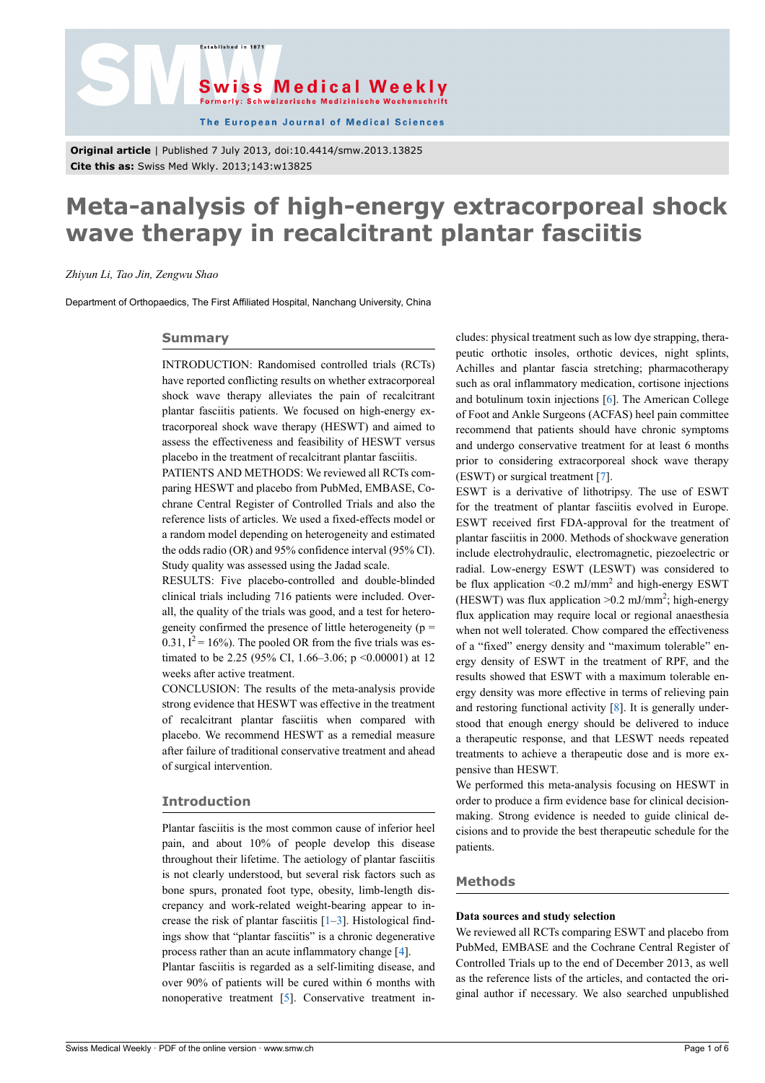



The European Journal of Medical Sciences

**Original article** | Published 7 July 2013, doi:10.4414/smw.2013.13825 **Cite this as:** Swiss Med Wkly. 2013;143:w13825

# **Meta-analysis of high-energy extracorporeal shock wave therapy in recalcitrant plantar fasciitis**

## *Zhiyun Li, Tao Jin, Zengwu Shao*

Department of Orthopaedics, The First Affiliated Hospital, Nanchang University, China

### **Summary**

INTRODUCTION: Randomised controlled trials (RCTs) have reported conflicting results on whether extracorporeal shock wave therapy alleviates the pain of recalcitrant plantar fasciitis patients. We focused on high-energy extracorporeal shock wave therapy (HESWT) and aimed to assess the effectiveness and feasibility of HESWT versus placebo in the treatment of recalcitrant plantar fasciitis.

PATIENTS AND METHODS: We reviewed all RCTs comparing HESWT and placebo from PubMed, EMBASE, Cochrane Central Register of Controlled Trials and also the reference lists of articles. We used a fixed-effects model or a random model depending on heterogeneity and estimated the odds radio (OR) and 95% confidence interval (95% CI). Study quality was assessed using the Jadad scale.

RESULTS: Five placebo-controlled and double-blinded clinical trials including 716 patients were included. Overall, the quality of the trials was good, and a test for heterogeneity confirmed the presence of little heterogeneity ( $p =$ 0.31,  $I^2 = 16\%$ ). The pooled OR from the five trials was estimated to be 2.25 (95% CI, 1.66–3.06; p <0.00001) at 12 weeks after active treatment.

CONCLUSION: The results of the meta-analysis provide strong evidence that HESWT was effective in the treatment of recalcitrant plantar fasciitis when compared with placebo. We recommend HESWT as a remedial measure after failure of traditional conservative treatment and ahead of surgical intervention.

## **Introduction**

Plantar fasciitis is the most common cause of inferior heel pain, and about 10% of people develop this disease throughout their lifetime. The aetiology of plantar fasciitis is not clearly understood, but several risk factors such as bone spurs, pronated foot type, obesity, limb-length discrepancy and work-related weight-bearing appear to increase the risk of plantar fasciitis  $[1-3]$  $[1-3]$  $[1-3]$  $[1-3]$  $[1-3]$ . Histological findings show that "plantar fasciitis" is a chronic degenerative process rather than an acute inflammatory change [\[4\]](#page-3-2).

Plantar fasciitis is regarded as a self-limiting disease, and over 90% of patients will be cured within 6 months with nonoperative treatment [[5](#page-3-3)]. Conservative treatment includes: physical treatment such as low dye strapping, therapeutic orthotic insoles, orthotic devices, night splints, Achilles and plantar fascia stretching; pharmacotherapy such as oral inflammatory medication, cortisone injections and botulinum toxin injections [[6](#page-3-4)]. The American College of Foot and Ankle Surgeons (ACFAS) heel pain committee recommend that patients should have chronic symptoms and undergo conservative treatment for at least 6 months prior to considering extracorporeal shock wave therapy (ESWT) or surgical treatment [[7](#page-3-5)].

ESWT is a derivative of lithotripsy. The use of ESWT for the treatment of plantar fasciitis evolved in Europe. ESWT received first FDA-approval for the treatment of plantar fasciitis in 2000. Methods of shockwave generation include electrohydraulic, electromagnetic, piezoelectric or radial. Low-energy ESWT (LESWT) was considered to be flux application  $\leq 0.2$  mJ/mm<sup>2</sup> and high-energy ESWT (HESWT) was flux application  $> 0.2$  mJ/mm<sup>2</sup>; high-energy flux application may require local or regional anaesthesia when not well tolerated. Chow compared the effectiveness of a "fixed" energy density and "maximum tolerable" energy density of ESWT in the treatment of RPF, and the results showed that ESWT with a maximum tolerable energy density was more effective in terms of relieving pain and restoring functional activity [\[8\]](#page-4-0). It is generally understood that enough energy should be delivered to induce a therapeutic response, and that LESWT needs repeated treatments to achieve a therapeutic dose and is more expensive than HESWT.

We performed this meta-analysis focusing on HESWT in order to produce a firm evidence base for clinical decisionmaking. Strong evidence is needed to guide clinical decisions and to provide the best therapeutic schedule for the patients.

# **Methods**

#### **Data sources and study selection**

We reviewed all RCTs comparing ESWT and placebo from PubMed, EMBASE and the Cochrane Central Register of Controlled Trials up to the end of December 2013, as well as the reference lists of the articles, and contacted the original author if necessary. We also searched unpublished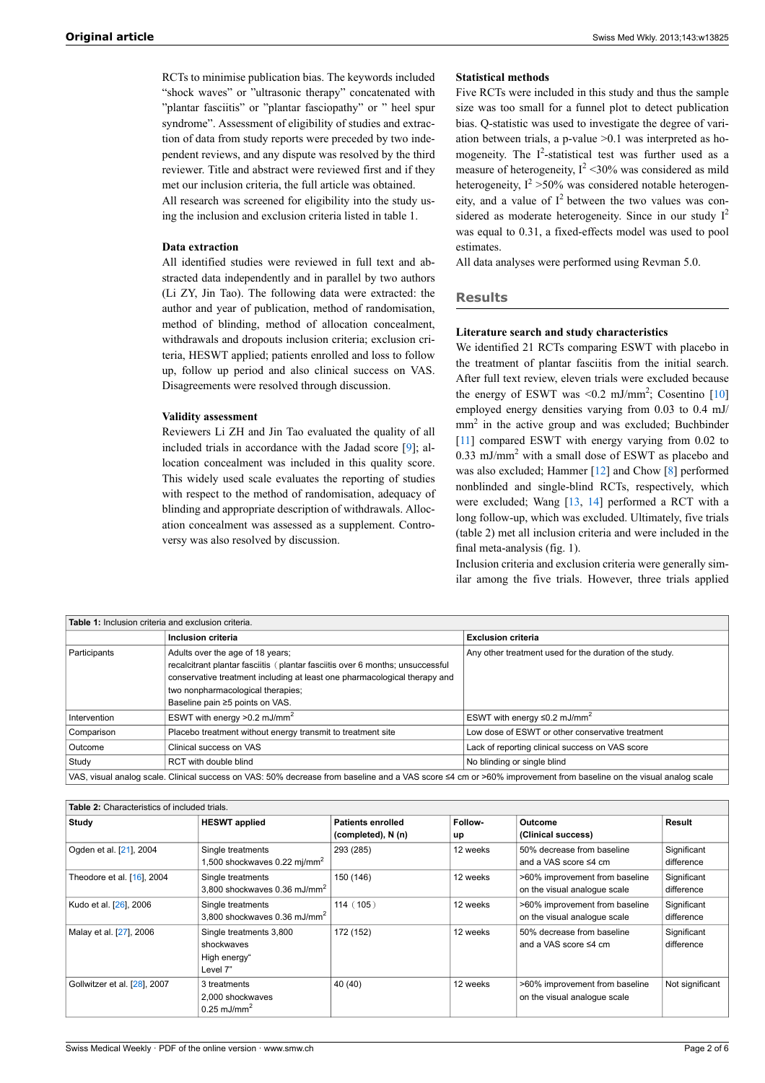RCTs to minimise publication bias. The keywords included "shock waves" or "ultrasonic therapy" concatenated with "plantar fasciitis" or "plantar fasciopathy" or " heel spur syndrome". Assessment of eligibility of studies and extraction of data from study reports were preceded by two independent reviews, and any dispute was resolved by the third reviewer. Title and abstract were reviewed first and if they met our inclusion criteria, the full article was obtained. All research was screened for eligibility into the study using the inclusion and exclusion criteria listed in table 1.

# **Data extraction**

All identified studies were reviewed in full text and abstracted data independently and in parallel by two authors (Li ZY, Jin Tao). The following data were extracted: the author and year of publication, method of randomisation, method of blinding, method of allocation concealment, withdrawals and dropouts inclusion criteria; exclusion criteria, HESWT applied; patients enrolled and loss to follow up, follow up period and also clinical success on VAS. Disagreements were resolved through discussion.

# **Validity assessment**

Reviewers Li ZH and Jin Tao evaluated the quality of all included trials in accordance with the Jadad score [[9](#page-4-1)]; allocation concealment was included in this quality score. This widely used scale evaluates the reporting of studies with respect to the method of randomisation, adequacy of blinding and appropriate description of withdrawals. Allocation concealment was assessed as a supplement. Controversy was also resolved by discussion.

# **Statistical methods**

Five RCTs were included in this study and thus the sample size was too small for a funnel plot to detect publication bias. Q-statistic was used to investigate the degree of variation between trials, a p-value >0.1 was interpreted as homogeneity. The I<sup>2</sup>-statistical test was further used as a measure of heterogeneity,  $I^2$  <30% was considered as mild heterogeneity,  $I^2 > 50\%$  was considered notable heterogeneity, and a value of  $I^2$  between the two values was considered as moderate heterogeneity. Since in our study  $I^2$ was equal to 0.31, a fixed-effects model was used to pool estimates.

All data analyses were performed using Revman 5.0.

## **Results**

## **Literature search and study characteristics**

We identified 21 RCTs comparing ESWT with placebo in the treatment of plantar fasciitis from the initial search. After full text review, eleven trials were excluded because the energy of ESWT was  $\leq 0.2$  mJ/mm<sup>2</sup>; Cosentino [[10\]](#page-4-2) employed energy densities varying from 0.03 to 0.4 mJ/ mm<sup>2</sup> in the active group and was excluded; Buchbinder [[11](#page-4-3)] compared ESWT with energy varying from 0.02 to 0.33 mJ/mm<sup>2</sup> with a small dose of ESWT as placebo and was also excluded; Hammer [\[12](#page-4-4)] and Chow [\[8\]](#page-4-0) performed nonblinded and single-blind RCTs, respectively, which were excluded; Wang [\[13](#page-4-5), [14](#page-4-6)] performed a RCT with a long follow-up, which was excluded. Ultimately, five trials (table 2) met all inclusion criteria and were included in the final meta-analysis (fig. 1).

Inclusion criteria and exclusion criteria were generally similar among the five trials. However, three trials applied

| <b>Table 1:</b> Inclusion criteria and exclusion criteria. |                                                                                                                                                                                                                                                                        |                                                         |  |  |  |  |
|------------------------------------------------------------|------------------------------------------------------------------------------------------------------------------------------------------------------------------------------------------------------------------------------------------------------------------------|---------------------------------------------------------|--|--|--|--|
|                                                            | Inclusion criteria                                                                                                                                                                                                                                                     | <b>Exclusion criteria</b>                               |  |  |  |  |
| Participants                                               | Adults over the age of 18 years;<br>recalcitrant plantar fasciitis (plantar fasciitis over 6 months; unsuccessful<br>conservative treatment including at least one pharmacological therapy and<br>two nonpharmacological therapies;<br>Baseline pain ≥5 points on VAS. | Any other treatment used for the duration of the study. |  |  |  |  |
| Intervention                                               | ESWT with energy $>0.2$ mJ/mm <sup>2</sup>                                                                                                                                                                                                                             | ESWT with energy $\leq 0.2$ mJ/mm <sup>2</sup>          |  |  |  |  |
| Comparison                                                 | Placebo treatment without energy transmit to treatment site                                                                                                                                                                                                            | Low dose of ESWT or other conservative treatment        |  |  |  |  |
| Outcome                                                    | Clinical success on VAS                                                                                                                                                                                                                                                | Lack of reporting clinical success on VAS score         |  |  |  |  |
| Study                                                      | RCT with double blind                                                                                                                                                                                                                                                  | No blinding or single blind                             |  |  |  |  |
|                                                            | VAS vieual apalog ceale. Clipical success on VAS: 50% decrease from baseline and a VAS seems of a m or SG0% improvement from baseline on the vieual apalog seale.                                                                                                      |                                                         |  |  |  |  |

VAS, visual analog scale. Clinical success on VAS: 50% decrease from baseline and a VAS score ≤4 cm or >60% improvement from baseline on the visual analog scale

| <b>Table 2:</b> Characteristics of included trials. |                                          |                          |          |                                |                 |
|-----------------------------------------------------|------------------------------------------|--------------------------|----------|--------------------------------|-----------------|
| Study                                               | <b>HESWT</b> applied                     | <b>Patients enrolled</b> | Follow-  | Outcome                        | Result          |
|                                                     |                                          | (completed), N (n)       | up       | (Clinical success)             |                 |
| Ogden et al. [21], 2004                             | Single treatments                        | 293 (285)                | 12 weeks | 50% decrease from baseline     | Significant     |
|                                                     | 1,500 shockwaves 0.22 mj/mm <sup>2</sup> |                          |          | and a VAS score ≤4 cm          | difference      |
| Theodore et al. [16], 2004                          | Single treatments                        | 150 (146)                | 12 weeks | >60% improvement from baseline | Significant     |
|                                                     | 3,800 shockwaves 0.36 mJ/mm <sup>2</sup> |                          |          | on the visual analoque scale   | difference      |
| Kudo et al. [26], 2006                              | Single treatments                        | 114(105)                 | 12 weeks | >60% improvement from baseline | Significant     |
|                                                     | 3,800 shockwaves 0.36 mJ/mm <sup>2</sup> |                          |          | on the visual analogue scale   | difference      |
| Malay et al. [27], 2006                             | Single treatments 3,800                  | 172 (152)                | 12 weeks | 50% decrease from baseline     | Significant     |
|                                                     | shockwaves                               |                          |          | and a VAS score ≤4 cm          | difference      |
|                                                     | High energy"                             |                          |          |                                |                 |
|                                                     | Level 7"                                 |                          |          |                                |                 |
| Gollwitzer et al. [28], 2007                        | 3 treatments                             | 40 (40)                  | 12 weeks | >60% improvement from baseline | Not significant |
|                                                     | 2,000 shockwaves                         |                          |          | on the visual analogue scale   |                 |
|                                                     | $0.25$ mJ/mm <sup>2</sup>                |                          |          |                                |                 |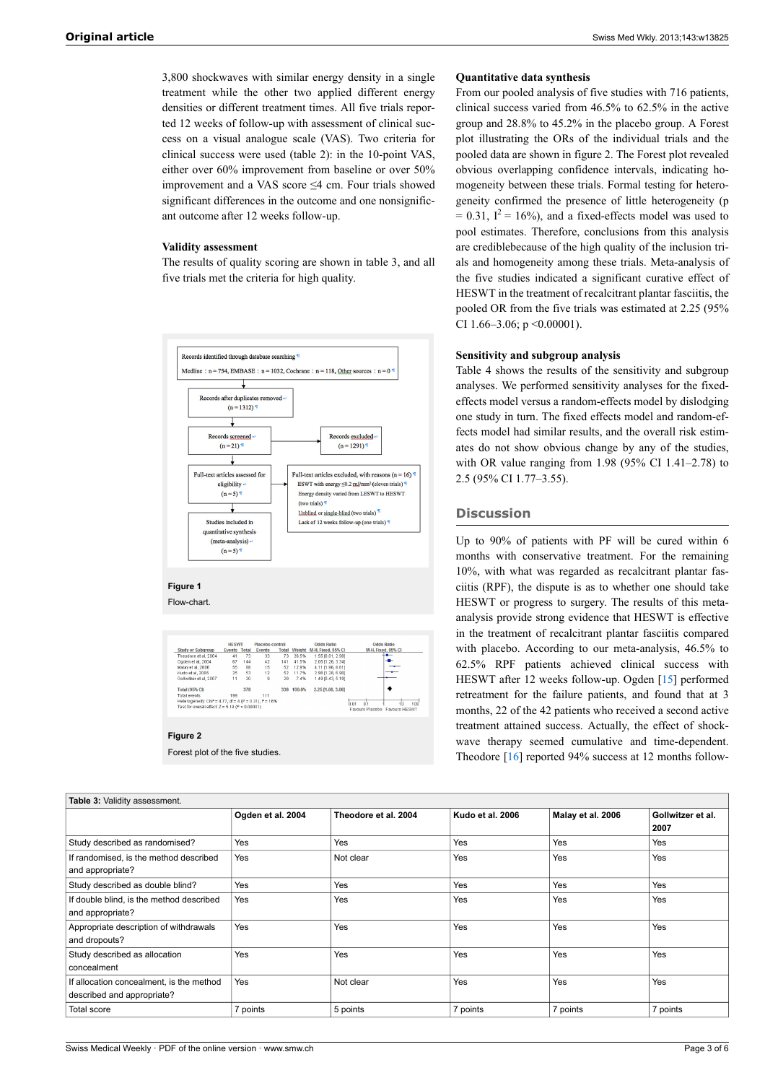3,800 shockwaves with similar energy density in a single treatment while the other two applied different energy densities or different treatment times. All five trials reported 12 weeks of follow-up with assessment of clinical success on a visual analogue scale (VAS). Two criteria for clinical success were used (table 2): in the 10-point VAS, either over 60% improvement from baseline or over 50% improvement and a VAS score ≤4 cm. Four trials showed significant differences in the outcome and one nonsignificant outcome after 12 weeks follow-up.

## **Validity assessment**

The results of quality scoring are shown in table 3, and all five trials met the criteria for high quality.



**Figure 1**

Flow-chart.

|                                                                       | <b>HE SWT</b>       |     | Placebo control |              |        | <b>Odds Ratio</b>  | <b>Odds Ratio</b>             |
|-----------------------------------------------------------------------|---------------------|-----|-----------------|--------------|--------|--------------------|-------------------------------|
| <b>Study or Subgroup</b>                                              | <b>Events Total</b> |     | <b>Events</b>   | <b>Total</b> | Weight | M-H. Fixed, 95% CI | M-H, Fixed, 95% CI            |
| Theodore et al. 2004                                                  | 41                  | 73  | 33              | 73           | 26.5%  | 1.55 (0.81, 2.98)  | $-$                           |
| Ogden et al, 2004                                                     | 67                  | 144 | 42              | 141          | 41.5%  | 2.05 [1.26, 3.34]  |                               |
| Malay et al, 2006                                                     | 55                  | 88  | 15              | 52           | 12.9%  | 4.11 [1.96, 8.61]  |                               |
| Kudo et al. 2006                                                      | 25                  | 53  | 12              | 52           | 11.7%  | 2.98 [1.28, 6.90]  |                               |
| Gollwitzer et al, 2007                                                |                     | 20  | 9               | 20           | 7.4%   | 1.49 [0.43, 5.19]  |                               |
| <b>Total (95% CI)</b>                                                 |                     | 378 |                 | 338          | 100.0% | 2.25 [1.66, 3.06]  |                               |
| Total events                                                          | 199                 |     | 111             |              |        |                    |                               |
| Heterogeneity: Chi <sup>2</sup> = 4.77, df = 4 (P = 0.31): $P = 16\%$ |                     |     |                 |              |        |                    | 100<br>'n ni<br>n's<br>10     |
| Test for overall effect: $Z = 5.19$ (P < $0.00001$ )                  |                     |     |                 |              |        |                    | Favours Placebo Favours HESWT |

#### **Figure 2**

Forest plot of the five studies.

## **Quantitative data synthesis**

From our pooled analysis of five studies with 716 patients, clinical success varied from 46.5% to 62.5% in the active group and 28.8% to 45.2% in the placebo group. A Forest plot illustrating the ORs of the individual trials and the pooled data are shown in figure 2. The Forest plot revealed obvious overlapping confidence intervals, indicating homogeneity between these trials. Formal testing for heterogeneity confirmed the presence of little heterogeneity (p  $= 0.31$ ,  $I^2 = 16\%$ ), and a fixed-effects model was used to pool estimates. Therefore, conclusions from this analysis are crediblebecause of the high quality of the inclusion trials and homogeneity among these trials. Meta-analysis of the five studies indicated a significant curative effect of HESWT in the treatment of recalcitrant plantar fasciitis, the pooled OR from the five trials was estimated at 2.25 (95% CI 1.66–3.06; p <0.00001).

### **Sensitivity and subgroup analysis**

Table 4 shows the results of the sensitivity and subgroup analyses. We performed sensitivity analyses for the fixedeffects model versus a random-effects model by dislodging one study in turn. The fixed effects model and random-effects model had similar results, and the overall risk estimates do not show obvious change by any of the studies, with OR value ranging from  $1.98$  (95% CI 1.41–2.78) to 2.5 (95% CI 1.77‒3.55).

# **Discussion**

Up to 90% of patients with PF will be cured within 6 months with conservative treatment. For the remaining 10%, with what was regarded as recalcitrant plantar fasciitis (RPF), the dispute is as to whether one should take HESWT or progress to surgery. The results of this metaanalysis provide strong evidence that HESWT is effective in the treatment of recalcitrant plantar fasciitis compared with placebo. According to our meta-analysis, 46.5% to 62.5% RPF patients achieved clinical success with HESWT after 12 weeks follow-up. Ogden [[15\]](#page-4-11) performed retreatment for the failure patients, and found that at 3 months, 22 of the 42 patients who received a second active treatment attained success. Actually, the effect of shockwave therapy seemed cumulative and time-dependent. Theodore [[16\]](#page-4-8) reported 94% success at 12 months follow-

| Table 3: Validity assessment.                                          |                   |                      |                  |                   |                           |  |
|------------------------------------------------------------------------|-------------------|----------------------|------------------|-------------------|---------------------------|--|
|                                                                        | Ogden et al. 2004 | Theodore et al. 2004 | Kudo et al. 2006 | Malay et al. 2006 | Gollwitzer et al.<br>2007 |  |
| Study described as randomised?                                         | Yes               | Yes                  | Yes              | Yes               | Yes                       |  |
| If randomised, is the method described<br>and appropriate?             | Yes               | Not clear            | Yes              | Yes               | Yes                       |  |
| Study described as double blind?                                       | Yes               | Yes                  | Yes              | Yes               | Yes                       |  |
| If double blind, is the method described<br>and appropriate?           | Yes               | Yes                  | Yes              | Yes               | Yes                       |  |
| Appropriate description of withdrawals<br>and dropouts?                | Yes               | Yes                  | Yes              | Yes               | Yes                       |  |
| Study described as allocation<br>concealment                           | Yes               | Yes                  | Yes              | Yes               | Yes                       |  |
| If allocation concealment, is the method<br>described and appropriate? | Yes               | Not clear            | Yes              | Yes               | Yes                       |  |
| <b>Total score</b>                                                     | 7 points          | 5 points             | 7 points         | 7 points          | 7 points                  |  |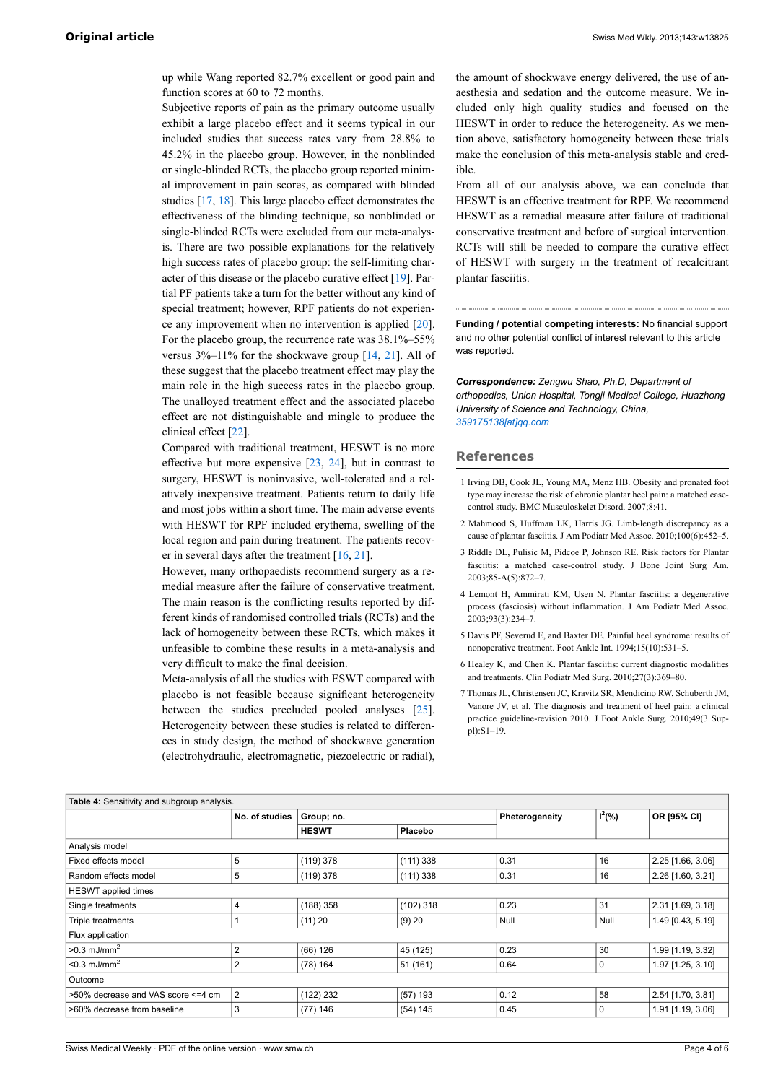up while Wang reported 82.7% excellent or good pain and function scores at 60 to 72 months.

Subjective reports of pain as the primary outcome usually exhibit a large placebo effect and it seems typical in our included studies that success rates vary from 28.8% to 45.2% in the placebo group. However, in the nonblinded or single-blinded RCTs, the placebo group reported minimal improvement in pain scores, as compared with blinded studies [\[17](#page-4-12), [18\]](#page-4-13). This large placebo effect demonstrates the effectiveness of the blinding technique, so nonblinded or single-blinded RCTs were excluded from our meta-analysis. There are two possible explanations for the relatively high success rates of placebo group: the self-limiting character of this disease or the placebo curative effect [\[19](#page-4-14)]. Partial PF patients take a turn for the better without any kind of special treatment; however, RPF patients do not experience any improvement when no intervention is applied [\[20](#page-4-15)]. For the placebo group, the recurrence rate was 38.1%–55% versus 3%–11% for the shockwave group [[14,](#page-4-6) [21](#page-4-7)]. All of these suggest that the placebo treatment effect may play the main role in the high success rates in the placebo group. The unalloyed treatment effect and the associated placebo effect are not distinguishable and mingle to produce the clinical effect [\[22](#page-4-16)].

<span id="page-3-0"></span>Compared with traditional treatment, HESWT is no more effective but more expensive [[23,](#page-4-17) [24\]](#page-4-18), but in contrast to surgery, HESWT is noninvasive, well-tolerated and a relatively inexpensive treatment. Patients return to daily life and most jobs within a short time. The main adverse events with HESWT for RPF included erythema, swelling of the local region and pain during treatment. The patients recover in several days after the treatment [\[16](#page-4-8), [21\]](#page-4-7).

<span id="page-3-2"></span><span id="page-3-1"></span>However, many orthopaedists recommend surgery as a remedial measure after the failure of conservative treatment. The main reason is the conflicting results reported by different kinds of randomised controlled trials (RCTs) and the lack of homogeneity between these RCTs, which makes it unfeasible to combine these results in a meta-analysis and very difficult to make the final decision.

<span id="page-3-3"></span>Meta-analysis of all the studies with ESWT compared with placebo is not feasible because significant heterogeneity between the studies precluded pooled analyses [\[25](#page-4-19)]. Heterogeneity between these studies is related to differences in study design, the method of shockwave generation (electrohydraulic, electromagnetic, piezoelectric or radial),

the amount of shockwave energy delivered, the use of anaesthesia and sedation and the outcome measure. We included only high quality studies and focused on the HESWT in order to reduce the heterogeneity. As we mention above, satisfactory homogeneity between these trials make the conclusion of this meta-analysis stable and credible.

From all of our analysis above, we can conclude that HESWT is an effective treatment for RPF. We recommend HESWT as a remedial measure after failure of traditional conservative treatment and before of surgical intervention. RCTs will still be needed to compare the curative effect of HESWT with surgery in the treatment of recalcitrant plantar fasciitis.

**Funding / potential competing interests:** No financial support and no other potential conflict of interest relevant to this article was reported.

*Correspondence: Zengwu Shao, Ph.D, Department of orthopedics, Union Hospital, Tongji Medical College, Huazhong University of Science and Technology, China, [359175138\[at\]qq.com](mailto:359175138@qq.com)*

#### **References**

- 1 Irving DB, Cook JL, Young MA, Menz HB. Obesity and pronated foot type may increase the risk of chronic plantar heel pain: a matched casecontrol study. BMC Musculoskelet Disord. 2007;8:41.
- 2 Mahmood S, Huffman LK, Harris JG. Limb-length discrepancy as a cause of plantar fasciitis. J Am Podiatr Med Assoc. 2010;100(6):452–5.
- 3 Riddle DL, Pulisic M, Pidcoe P, Johnson RE. Risk factors for Plantar fasciitis: a matched case-control study. J Bone Joint Surg Am. 2003;85-A(5):872–7.
- 4 Lemont H, Ammirati KM, Usen N. Plantar fasciitis: a degenerative process (fasciosis) without inflammation. J Am Podiatr Med Assoc. 2003;93(3):234–7.
- 5 Davis PF, Severud E, and Baxter DE. Painful heel syndrome: results of nonoperative treatment. Foot Ankle Int. 1994;15(10):531–5.
- 6 Healey K, and Chen K. Plantar fasciitis: current diagnostic modalities and treatments. Clin Podiatr Med Surg. 2010;27(3):369–80.
- 7 Thomas JL, Christensen JC, Kravitz SR, Mendicino RW, Schuberth JM, Vanore JV, et al. The diagnosis and treatment of heel pain: a clinical practice guideline-revision 2010. J Foot Ankle Surg. 2010;49(3 Suppl):S1–19.

<span id="page-3-5"></span><span id="page-3-4"></span>

| Table 4: Sensitivity and subgroup analysis. |                |                         |             |                |            |                   |
|---------------------------------------------|----------------|-------------------------|-------------|----------------|------------|-------------------|
|                                             | No. of studies | Group; no.              |             | Pheterogeneity | $I^2(\% )$ | OR [95% CI]       |
|                                             |                | <b>HESWT</b><br>Placebo |             |                |            |                   |
| Analysis model                              |                |                         |             |                |            |                   |
| Fixed effects model                         | 5              | (119) 378               | (111) 338   | 0.31           | 16         | 2.25 [1.66, 3.06] |
| Random effects model                        | 5              | (119) 378               | (111) 338   | 0.31           | 16         | 2.26 [1.60, 3.21] |
| HESWT applied times                         |                |                         |             |                |            |                   |
| Single treatments                           | 4              | $(188)$ 358             | $(102)$ 318 | 0.23           | 31         | 2.31 [1.69, 3.18] |
| Triple treatments                           |                | (11) 20                 | (9) 20      | Null           | Null       | 1.49 [0.43, 5.19] |
| Flux application                            |                |                         |             |                |            |                   |
| $>0.3$ mJ/mm <sup>2</sup>                   | $\overline{2}$ | (66) 126                | 45 (125)    | 0.23           | 30         | 1.99 [1.19, 3.32] |
| $<$ 0.3 mJ/mm <sup>2</sup>                  | $\overline{2}$ | $(78)$ 164              | 51 (161)    | 0.64           | 0          | 1.97 [1.25, 3.10] |
| Outcome                                     |                |                         |             |                |            |                   |
| >50% decrease and VAS score <= 4 cm         | $\overline{2}$ | (122) 232               | (57) 193    | 0.12           | 58         | 2.54 [1.70, 3.81] |
| >60% decrease from baseline                 | 3              | (77) 146                | (54) 145    | 0.45           | 0          | 1.91 [1.19, 3.06] |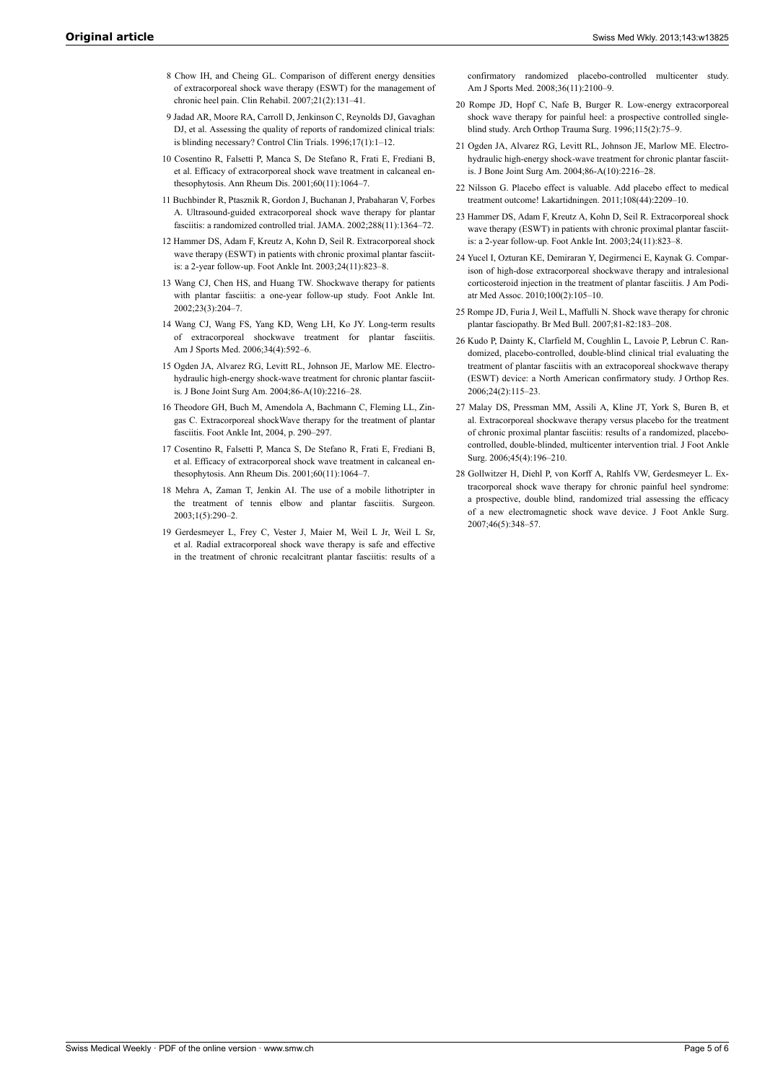- <span id="page-4-0"></span>8 Chow IH, and Cheing GL. Comparison of different energy densities of extracorporeal shock wave therapy (ESWT) for the management of chronic heel pain. Clin Rehabil. 2007;21(2):131–41.
- <span id="page-4-15"></span><span id="page-4-1"></span>9 Jadad AR, Moore RA, Carroll D, Jenkinson C, Reynolds DJ, Gavaghan DJ, et al. Assessing the quality of reports of randomized clinical trials: is blinding necessary? Control Clin Trials. 1996;17(1):1–12.
- <span id="page-4-7"></span><span id="page-4-2"></span>10 Cosentino R, Falsetti P, Manca S, De Stefano R, Frati E, Frediani B, et al. Efficacy of extracorporeal shock wave treatment in calcaneal enthesophytosis. Ann Rheum Dis. 2001;60(11):1064–7.
- <span id="page-4-17"></span><span id="page-4-16"></span><span id="page-4-3"></span>11 Buchbinder R, Ptasznik R, Gordon J, Buchanan J, Prabaharan V, Forbes A. Ultrasound-guided extracorporeal shock wave therapy for plantar fasciitis: a randomized controlled trial. JAMA. 2002;288(11):1364–72.
- <span id="page-4-18"></span><span id="page-4-4"></span>12 Hammer DS, Adam F, Kreutz A, Kohn D, Seil R. Extracorporeal shock wave therapy (ESWT) in patients with chronic proximal plantar fasciitis: a 2-year follow-up. Foot Ankle Int. 2003;24(11):823–8.
- <span id="page-4-5"></span>13 Wang CJ, Chen HS, and Huang TW. Shockwave therapy for patients with plantar fasciitis: a one-year follow-up study. Foot Ankle Int. 2002;23(3):204–7.
- <span id="page-4-19"></span><span id="page-4-9"></span><span id="page-4-6"></span>14 Wang CJ, Wang FS, Yang KD, Weng LH, Ko JY. Long-term results of extracorporeal shockwave treatment for plantar fasciitis. Am J Sports Med. 2006;34(4):592–6.
- <span id="page-4-11"></span>15 Ogden JA, Alvarez RG, Levitt RL, Johnson JE, Marlow ME. Electrohydraulic high-energy shock-wave treatment for chronic plantar fasciitis. J Bone Joint Surg Am. 2004;86-A(10):2216–28.
- <span id="page-4-8"></span>16 Theodore GH, Buch M, Amendola A, Bachmann C, Fleming LL, Zingas C. Extracorporeal shockWave therapy for the treatment of plantar fasciitis. Foot Ankle Int, 2004, p. 290–297.
- <span id="page-4-12"></span>17 Cosentino R, Falsetti P, Manca S, De Stefano R, Frati E, Frediani B, et al. Efficacy of extracorporeal shock wave treatment in calcaneal enthesophytosis. Ann Rheum Dis. 2001;60(11):1064–7.
- <span id="page-4-13"></span><span id="page-4-10"></span>18 Mehra A, Zaman T, Jenkin AI. The use of a mobile lithotripter in the treatment of tennis elbow and plantar fasciitis. Surgeon. 2003;1(5):290–2.
- <span id="page-4-14"></span>19 Gerdesmeyer L, Frey C, Vester J, Maier M, Weil L Jr, Weil L Sr, et al. Radial extracorporeal shock wave therapy is safe and effective in the treatment of chronic recalcitrant plantar fasciitis: results of a

confirmatory randomized placebo-controlled multicenter study. Am J Sports Med. 2008;36(11):2100–9.

- 20 Rompe JD, Hopf C, Nafe B, Burger R. Low-energy extracorporeal shock wave therapy for painful heel: a prospective controlled singleblind study. Arch Orthop Trauma Surg. 1996;115(2):75–9.
- 21 Ogden JA, Alvarez RG, Levitt RL, Johnson JE, Marlow ME. Electrohydraulic high-energy shock-wave treatment for chronic plantar fasciitis. J Bone Joint Surg Am. 2004;86-A(10):2216–28.
- 22 Nilsson G. Placebo effect is valuable. Add placebo effect to medical treatment outcome! Lakartidningen. 2011;108(44):2209–10.
- 23 Hammer DS, Adam F, Kreutz A, Kohn D, Seil R. Extracorporeal shock wave therapy (ESWT) in patients with chronic proximal plantar fasciitis: a 2-year follow-up. Foot Ankle Int. 2003;24(11):823–8.
- 24 Yucel I, Ozturan KE, Demiraran Y, Degirmenci E, Kaynak G. Comparison of high-dose extracorporeal shockwave therapy and intralesional corticosteroid injection in the treatment of plantar fasciitis. J Am Podiatr Med Assoc. 2010;100(2):105–10.
- 25 Rompe JD, Furia J, Weil L, Maffulli N. Shock wave therapy for chronic plantar fasciopathy. Br Med Bull. 2007;81-82:183–208.
- 26 Kudo P, Dainty K, Clarfield M, Coughlin L, Lavoie P, Lebrun C. Randomized, placebo-controlled, double-blind clinical trial evaluating the treatment of plantar fasciitis with an extracoporeal shockwave therapy (ESWT) device: a North American confirmatory study. J Orthop Res. 2006;24(2):115–23.
- 27 Malay DS, Pressman MM, Assili A, Kline JT, York S, Buren B, et al. Extracorporeal shockwave therapy versus placebo for the treatment of chronic proximal plantar fasciitis: results of a randomized, placebocontrolled, double-blinded, multicenter intervention trial. J Foot Ankle Surg. 2006;45(4):196–210.
- 28 Gollwitzer H, Diehl P, von Korff A, Rahlfs VW, Gerdesmeyer L. Extracorporeal shock wave therapy for chronic painful heel syndrome: a prospective, double blind, randomized trial assessing the efficacy of a new electromagnetic shock wave device. J Foot Ankle Surg. 2007;46(5):348–57.